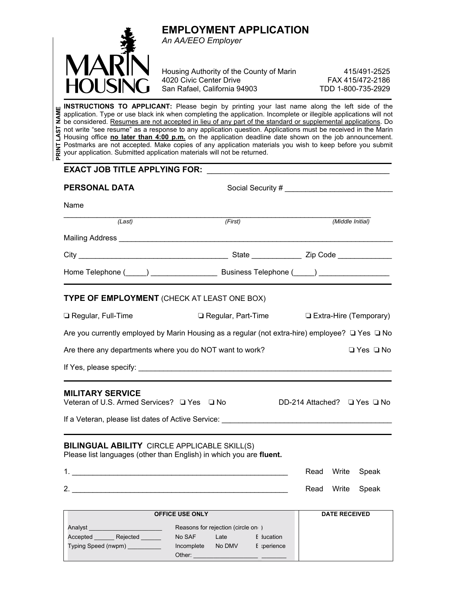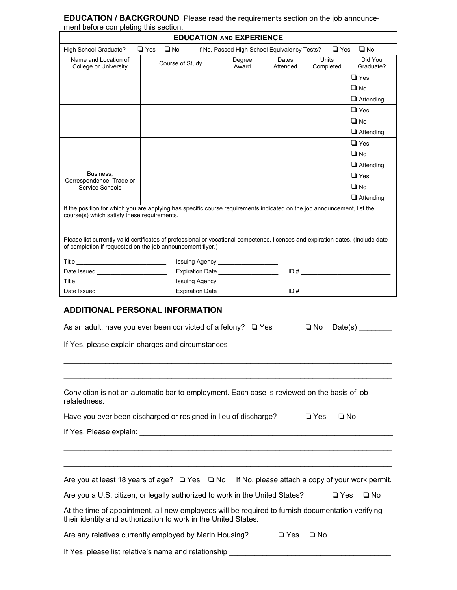|                                      | <b>EDUCATION / BACKGROUND</b> Please read the requirements section on the job announce- |  |  |  |  |
|--------------------------------------|-----------------------------------------------------------------------------------------|--|--|--|--|
| ment before completing this section. |                                                                                         |  |  |  |  |
| <b>EDUCATION AND EXPEPIENCE</b>      |                                                                                         |  |  |  |  |

|                                               | <b>EDUCATION AND EXPERIENCE</b>                                                                                                                                                                                                     |                                                                                      |                                              |                            |                       |  |  |
|-----------------------------------------------|-------------------------------------------------------------------------------------------------------------------------------------------------------------------------------------------------------------------------------------|--------------------------------------------------------------------------------------|----------------------------------------------|----------------------------|-----------------------|--|--|
| High School Graduate?                         | $\sqcup$ Yes<br>$\Box$ No                                                                                                                                                                                                           |                                                                                      | If No, Passed High School Equivalency Tests? | $\Box$ Yes                 | $\Box$ No             |  |  |
| Name and Location of<br>College or University | Course of Study                                                                                                                                                                                                                     | Degree<br>Award                                                                      | Dates<br>Attended                            | Units<br>Completed         | Did You<br>Graduate?  |  |  |
|                                               |                                                                                                                                                                                                                                     |                                                                                      |                                              |                            | $\Box$ Yes            |  |  |
|                                               |                                                                                                                                                                                                                                     |                                                                                      |                                              |                            | $\Box$ No             |  |  |
|                                               |                                                                                                                                                                                                                                     |                                                                                      |                                              |                            | $\Box$ Attending      |  |  |
|                                               |                                                                                                                                                                                                                                     |                                                                                      |                                              |                            | $\Box$ Yes            |  |  |
|                                               |                                                                                                                                                                                                                                     |                                                                                      |                                              |                            | $\Box$ No             |  |  |
|                                               |                                                                                                                                                                                                                                     |                                                                                      |                                              |                            | $\Box$ Attending      |  |  |
|                                               |                                                                                                                                                                                                                                     |                                                                                      |                                              |                            | $\Box$ Yes            |  |  |
|                                               |                                                                                                                                                                                                                                     |                                                                                      |                                              |                            | $\Box$ No             |  |  |
|                                               |                                                                                                                                                                                                                                     |                                                                                      |                                              |                            | $\Box$ Attending      |  |  |
| Business,<br>Correspondence, Trade or         |                                                                                                                                                                                                                                     |                                                                                      |                                              |                            | $\Box$ Yes            |  |  |
| Service Schools                               |                                                                                                                                                                                                                                     |                                                                                      |                                              |                            | $\Box$ No             |  |  |
|                                               |                                                                                                                                                                                                                                     |                                                                                      |                                              |                            | $\Box$ Attending      |  |  |
|                                               | If the position for which you are applying has specific course requirements indicated on the job announcement, list the                                                                                                             |                                                                                      |                                              |                            |                       |  |  |
| course(s) which satisfy these requirements.   |                                                                                                                                                                                                                                     |                                                                                      |                                              |                            |                       |  |  |
|                                               | Please list currently valid certificates of professional or vocational competence, licenses and expiration dates. (Include date                                                                                                     |                                                                                      |                                              |                            |                       |  |  |
|                                               | of completion if requested on the job announcement flyer.)                                                                                                                                                                          |                                                                                      |                                              |                            |                       |  |  |
|                                               |                                                                                                                                                                                                                                     |                                                                                      |                                              |                            |                       |  |  |
|                                               | Expiration Date _____________________                                                                                                                                                                                               |                                                                                      |                                              | ID#                        |                       |  |  |
|                                               |                                                                                                                                                                                                                                     |                                                                                      |                                              |                            |                       |  |  |
|                                               |                                                                                                                                                                                                                                     |                                                                                      |                                              |                            |                       |  |  |
|                                               | <b>ADDITIONAL PERSONAL INFORMATION</b>                                                                                                                                                                                              |                                                                                      |                                              |                            |                       |  |  |
|                                               | As an adult, have you ever been convicted of a felony? $\Box$ Yes                                                                                                                                                                   |                                                                                      |                                              | $\square$ No               | Date(s) $\frac{1}{2}$ |  |  |
|                                               | If Yes, please explain charges and circumstances <b>Exercises</b> and the series of the series of the series of the series of the series of the series of the series of the series of the series of the series of the series of the |                                                                                      |                                              |                            |                       |  |  |
|                                               |                                                                                                                                                                                                                                     |                                                                                      |                                              |                            |                       |  |  |
|                                               |                                                                                                                                                                                                                                     |                                                                                      |                                              |                            |                       |  |  |
| relatedness.                                  | Conviction is not an automatic bar to employment. Each case is reviewed on the basis of job                                                                                                                                         |                                                                                      |                                              |                            |                       |  |  |
|                                               | Have you ever been discharged or resigned in lieu of discharge?                                                                                                                                                                     |                                                                                      |                                              | $\Box$ Yes<br>$\square$ No |                       |  |  |
|                                               |                                                                                                                                                                                                                                     |                                                                                      |                                              |                            |                       |  |  |
|                                               |                                                                                                                                                                                                                                     |                                                                                      |                                              |                            |                       |  |  |
|                                               |                                                                                                                                                                                                                                     |                                                                                      |                                              |                            |                       |  |  |
|                                               |                                                                                                                                                                                                                                     |                                                                                      |                                              |                            |                       |  |  |
|                                               | Are you at least 18 years of age? $\Box$ Yes $\Box$ No If No, please attach a copy of your work permit.                                                                                                                             |                                                                                      |                                              |                            |                       |  |  |
|                                               | Are you a U.S. citizen, or legally authorized to work in the United States?                                                                                                                                                         |                                                                                      |                                              | $\Box$ Yes                 | $\square$ No          |  |  |
|                                               | At the time of appointment, all new employees will be required to furnish documentation verifying<br>their identity and authorization to work in the United States.                                                                 |                                                                                      |                                              |                            |                       |  |  |
|                                               |                                                                                                                                                                                                                                     |                                                                                      |                                              |                            |                       |  |  |
|                                               |                                                                                                                                                                                                                                     | Are any relatives currently employed by Marin Housing?<br>$\Box$ Yes<br>$\square$ No |                                              |                            |                       |  |  |

If Yes, please list relativeís name and relationship \_\_\_\_\_\_\_\_\_\_\_\_\_\_\_\_\_\_\_\_\_\_\_\_\_\_\_\_\_\_\_\_\_\_\_\_\_\_\_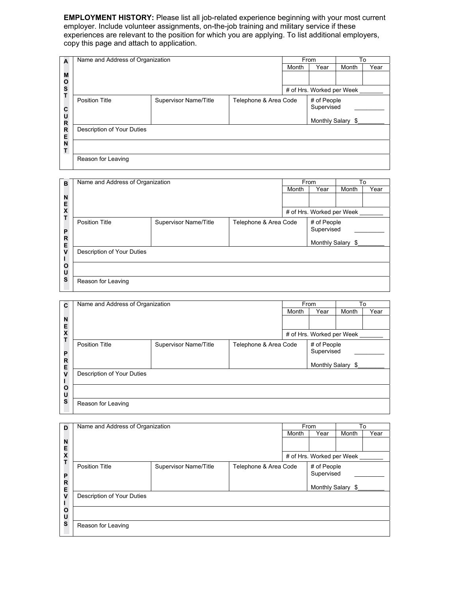**EMPLOYMENT HISTORY:** Please list all job-related experience beginning with your most current employer. Include volunteer assignments, on-the-job training and military service if these experiences are relevant to the position for which you are applying. To list additional employers, copy this page and attach to application.

| A      | Name and Address of Organization |                       |                       | From  |                           | To    |      |
|--------|----------------------------------|-----------------------|-----------------------|-------|---------------------------|-------|------|
|        |                                  |                       |                       | Month | Year                      | Month | Year |
| М<br>O |                                  |                       |                       |       |                           |       |      |
| S<br>T |                                  |                       |                       |       | # of Hrs. Worked per Week |       |      |
| C<br>U | <b>Position Title</b>            | Supervisor Name/Title | Telephone & Area Code |       | # of People<br>Supervised |       |      |
| R      |                                  |                       |                       |       | Monthly Salary \$         |       |      |
| R<br>Е | Description of Your Duties       |                       |                       |       |                           |       |      |
| N<br>т |                                  |                       |                       |       |                           |       |      |
|        | Reason for Leaving               |                       |                       |       |                           |       |      |

| в      | Name and Address of Organization |                       |                       | From  |                           | To    |      |
|--------|----------------------------------|-----------------------|-----------------------|-------|---------------------------|-------|------|
|        |                                  |                       |                       | Month | Year                      | Month | Year |
| N<br>E |                                  |                       |                       |       |                           |       |      |
| X      |                                  |                       |                       |       | # of Hrs. Worked per Week |       |      |
| P      | <b>Position Title</b>            | Supervisor Name/Title | Telephone & Area Code |       | # of People<br>Supervised |       |      |
| R<br>Е |                                  |                       |                       |       | Monthly Salary \$         |       |      |
| V      | Description of Your Duties       |                       |                       |       |                           |       |      |
| O<br>U |                                  |                       |                       |       |                           |       |      |
| s      | Reason for Leaving               |                       |                       |       |                           |       |      |

| C      | Name and Address of Organization |                       |                       | From  |                           | To    |      |
|--------|----------------------------------|-----------------------|-----------------------|-------|---------------------------|-------|------|
|        |                                  |                       |                       | Month | Year                      | Month | Year |
| N<br>Е |                                  |                       |                       |       |                           |       |      |
| X      |                                  |                       |                       |       | # of Hrs. Worked per Week |       |      |
| P      | <b>Position Title</b>            | Supervisor Name/Title | Telephone & Area Code |       | # of People<br>Supervised |       |      |
| R<br>Е |                                  |                       |                       |       | Monthly Salary            | \$    |      |
| v      | Description of Your Duties       |                       |                       |       |                           |       |      |
| O<br>U |                                  |                       |                       |       |                           |       |      |
| s      | Reason for Leaving               |                       |                       |       |                           |       |      |

| D      | Name and Address of Organization                                        |  |  | From  |                           | To    |      |
|--------|-------------------------------------------------------------------------|--|--|-------|---------------------------|-------|------|
|        |                                                                         |  |  | Month | Year                      | Month | Year |
| N<br>E |                                                                         |  |  |       |                           |       |      |
| x      |                                                                         |  |  |       | # of Hrs. Worked per Week |       |      |
| P<br>R | <b>Position Title</b><br>Supervisor Name/Title<br>Telephone & Area Code |  |  |       | # of People<br>Supervised |       |      |
| Е      |                                                                         |  |  |       | Monthly Salary \$         |       |      |
| v      | Description of Your Duties                                              |  |  |       |                           |       |      |
| O<br>U |                                                                         |  |  |       |                           |       |      |
| S      | Reason for Leaving                                                      |  |  |       |                           |       |      |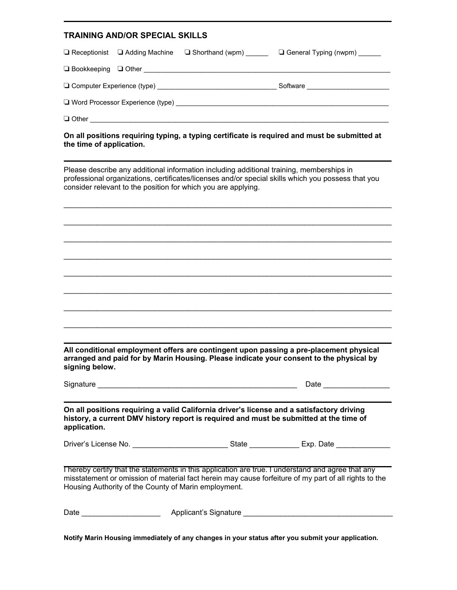## **TRAINING AND/OR SPECIAL SKILLS**

|                                                                                                                          |  |                     | □ Receptionist □ Adding Machine □ Shorthand (wpm) ______ □ General Typing (nwpm) _____ |  |  |  |
|--------------------------------------------------------------------------------------------------------------------------|--|---------------------|----------------------------------------------------------------------------------------|--|--|--|
|                                                                                                                          |  |                     |                                                                                        |  |  |  |
|                                                                                                                          |  |                     |                                                                                        |  |  |  |
|                                                                                                                          |  |                     |                                                                                        |  |  |  |
|                                                                                                                          |  | $\Box$ Other $\Box$ |                                                                                        |  |  |  |
| On all positions requiring typing, a typing certificate is required and must be submitted at<br>the time of application. |  |                     |                                                                                        |  |  |  |
|                                                                                                                          |  |                     |                                                                                        |  |  |  |

Please describe any additional information including additional training, memberships in professional organizations, certificates/licenses and/or special skills which you possess that you consider relevant to the position for which you are applying.

 $\mathcal{L}_\mathcal{L} = \{ \mathcal{L}_\mathcal{L} = \{ \mathcal{L}_\mathcal{L} = \{ \mathcal{L}_\mathcal{L} = \{ \mathcal{L}_\mathcal{L} = \{ \mathcal{L}_\mathcal{L} = \{ \mathcal{L}_\mathcal{L} = \{ \mathcal{L}_\mathcal{L} = \{ \mathcal{L}_\mathcal{L} = \{ \mathcal{L}_\mathcal{L} = \{ \mathcal{L}_\mathcal{L} = \{ \mathcal{L}_\mathcal{L} = \{ \mathcal{L}_\mathcal{L} = \{ \mathcal{L}_\mathcal{L} = \{ \mathcal{L}_\mathcal{$ 

 $\mathcal{L}_\mathcal{L} = \{ \mathcal{L}_\mathcal{L} = \{ \mathcal{L}_\mathcal{L} = \{ \mathcal{L}_\mathcal{L} = \{ \mathcal{L}_\mathcal{L} = \{ \mathcal{L}_\mathcal{L} = \{ \mathcal{L}_\mathcal{L} = \{ \mathcal{L}_\mathcal{L} = \{ \mathcal{L}_\mathcal{L} = \{ \mathcal{L}_\mathcal{L} = \{ \mathcal{L}_\mathcal{L} = \{ \mathcal{L}_\mathcal{L} = \{ \mathcal{L}_\mathcal{L} = \{ \mathcal{L}_\mathcal{L} = \{ \mathcal{L}_\mathcal{$ 

 $\mathcal{L}_\text{max}$  , and the set of the set of the set of the set of the set of the set of the set of the set of the set of the set of the set of the set of the set of the set of the set of the set of the set of the set of the

 $\mathcal{L}_\mathcal{L} = \{ \mathcal{L}_\mathcal{L} = \{ \mathcal{L}_\mathcal{L} = \{ \mathcal{L}_\mathcal{L} = \{ \mathcal{L}_\mathcal{L} = \{ \mathcal{L}_\mathcal{L} = \{ \mathcal{L}_\mathcal{L} = \{ \mathcal{L}_\mathcal{L} = \{ \mathcal{L}_\mathcal{L} = \{ \mathcal{L}_\mathcal{L} = \{ \mathcal{L}_\mathcal{L} = \{ \mathcal{L}_\mathcal{L} = \{ \mathcal{L}_\mathcal{L} = \{ \mathcal{L}_\mathcal{L} = \{ \mathcal{L}_\mathcal{$ 

 $\mathcal{L}_\mathcal{L} = \{ \mathcal{L}_\mathcal{L} = \{ \mathcal{L}_\mathcal{L} = \{ \mathcal{L}_\mathcal{L} = \{ \mathcal{L}_\mathcal{L} = \{ \mathcal{L}_\mathcal{L} = \{ \mathcal{L}_\mathcal{L} = \{ \mathcal{L}_\mathcal{L} = \{ \mathcal{L}_\mathcal{L} = \{ \mathcal{L}_\mathcal{L} = \{ \mathcal{L}_\mathcal{L} = \{ \mathcal{L}_\mathcal{L} = \{ \mathcal{L}_\mathcal{L} = \{ \mathcal{L}_\mathcal{L} = \{ \mathcal{L}_\mathcal{$ 

 $\mathcal{L}_\text{max}$  , and the set of the set of the set of the set of the set of the set of the set of the set of the set of the set of the set of the set of the set of the set of the set of the set of the set of the set of the

 $\mathcal{L}_\mathcal{L} = \{ \mathcal{L}_\mathcal{L} = \{ \mathcal{L}_\mathcal{L} = \{ \mathcal{L}_\mathcal{L} = \{ \mathcal{L}_\mathcal{L} = \{ \mathcal{L}_\mathcal{L} = \{ \mathcal{L}_\mathcal{L} = \{ \mathcal{L}_\mathcal{L} = \{ \mathcal{L}_\mathcal{L} = \{ \mathcal{L}_\mathcal{L} = \{ \mathcal{L}_\mathcal{L} = \{ \mathcal{L}_\mathcal{L} = \{ \mathcal{L}_\mathcal{L} = \{ \mathcal{L}_\mathcal{L} = \{ \mathcal{L}_\mathcal{$ 

 $\mathcal{L}_\mathcal{L} = \{ \mathcal{L}_\mathcal{L} = \{ \mathcal{L}_\mathcal{L} = \{ \mathcal{L}_\mathcal{L} = \{ \mathcal{L}_\mathcal{L} = \{ \mathcal{L}_\mathcal{L} = \{ \mathcal{L}_\mathcal{L} = \{ \mathcal{L}_\mathcal{L} = \{ \mathcal{L}_\mathcal{L} = \{ \mathcal{L}_\mathcal{L} = \{ \mathcal{L}_\mathcal{L} = \{ \mathcal{L}_\mathcal{L} = \{ \mathcal{L}_\mathcal{L} = \{ \mathcal{L}_\mathcal{L} = \{ \mathcal{L}_\mathcal{$ 

**All conditional employment offers are contingent upon passing a pre-placement physical arranged and paid for by Marin Housing. Please indicate your consent to the physical by signing below.** 

| Signature                                            |                       | Date                                                                                                                                                                                                       |
|------------------------------------------------------|-----------------------|------------------------------------------------------------------------------------------------------------------------------------------------------------------------------------------------------------|
| application.                                         |                       | On all positions requiring a valid California driver's license and a satisfactory driving<br>history, a current DMV history report is required and must be submitted at the time of                        |
|                                                      |                       |                                                                                                                                                                                                            |
| Housing Authority of the County of Marin employment. |                       | Thereby certify that the statements in this application are true. I understand and agree that any<br>misstatement or omission of material fact herein may cause forfeiture of my part of all rights to the |
| Date                                                 | Applicant's Signature |                                                                                                                                                                                                            |

**Notify Marin Housing immediately of any changes in your status after you submit your application.**